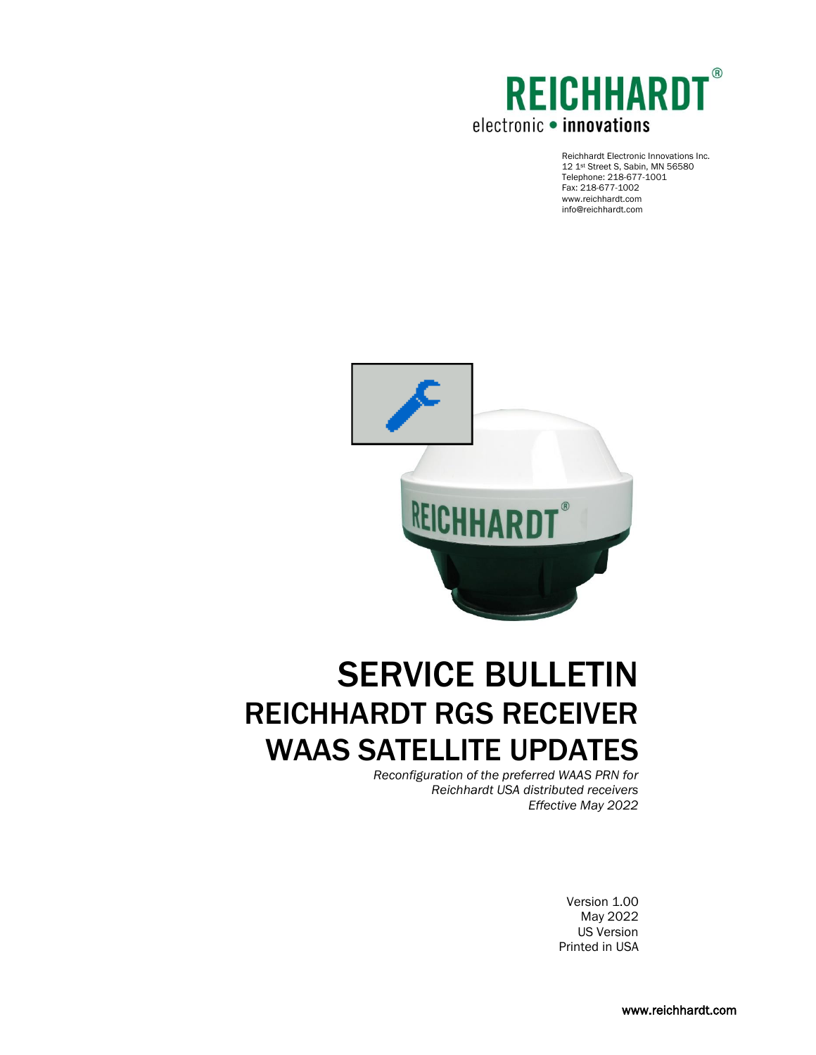

 Reichhardt Electronic Innovations Inc. 12 1st Street S, Sabin, MN 56580 Telephone: 218-677-1001 Fax: 218-677-1002 www.reichhardt.com info@reichhardt.com



# SERVICE BULLETIN REICHHARDT RGS RECEIVER WAAS SATELLITE UPDATES

*Reconfiguration of the preferred WAAS PRN for Reichhardt USA distributed receivers Effective May 2022*

> Version 1.00 May 2022 US Version Printed in USA

> > www.reichhardt.com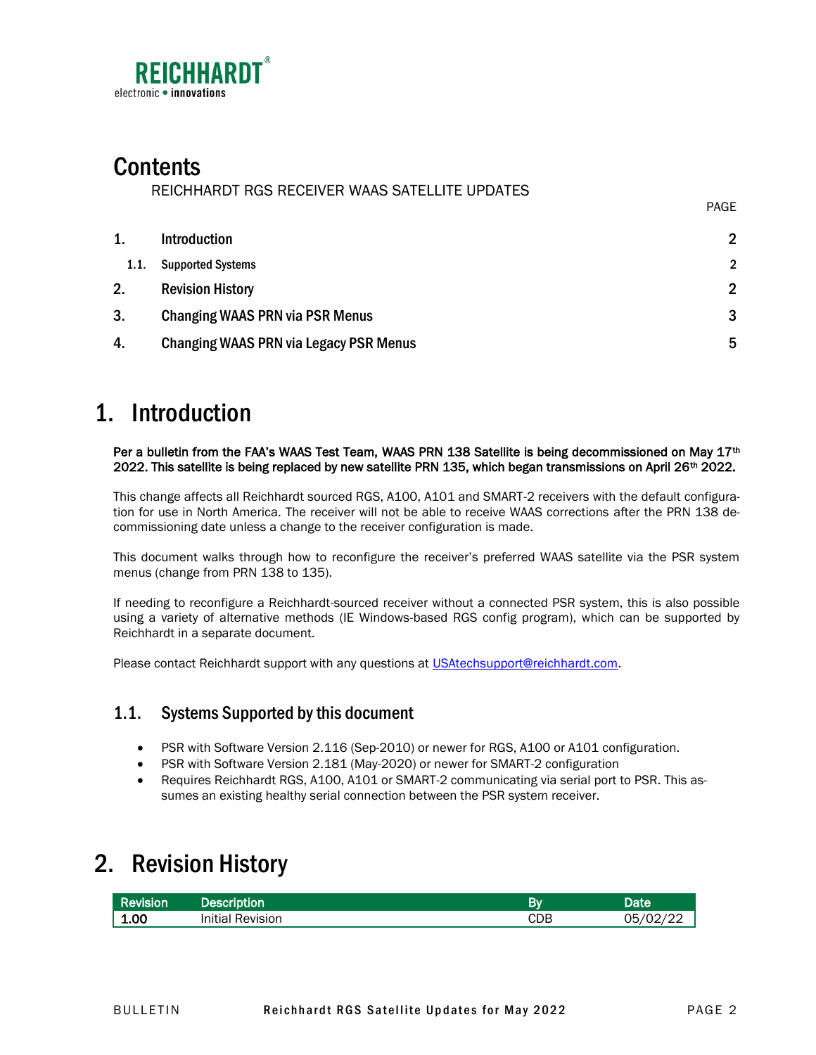

# **Contents**

REICHHARDT RGS RECEIVER WAAS SATELLITE UPDATES

| 1.   | <b>Introduction</b>                           | $\overline{2}$ |
|------|-----------------------------------------------|----------------|
| 1.1. | <b>Supported Systems</b>                      | $\overline{2}$ |
| 2.   | <b>Revision History</b>                       | $\mathfrak{p}$ |
| 3.   | <b>Changing WAAS PRN via PSR Menus</b>        | 3              |
| 4.   | <b>Changing WAAS PRN via Legacy PSR Menus</b> | -5             |

### <span id="page-1-0"></span>1. Introduction

Per a bulletin from the FAA's WAAS Test Team, WAAS PRN 138 Satellite is being decommissioned on May 17<sup>th</sup> 2022. This satellite is being replaced by new satellite PRN 135, which began transmissions on April 26<sup>th</sup> 2022.

This change affects all Reichhardt sourced RGS, A100, A101 and SMART-2 receivers with the default configuration for use in North America. The receiver will not be able to receive WAAS corrections after the PRN 138 decommissioning date unless a change to the receiver configuration is made.

This document walks through how to reconfigure the receiver's preferred WAAS satellite via the PSR system menus (change from PRN 138 to 135).

If needing to reconfigure a Reichhardt-sourced receiver without a connected PSR system, this is also possible using a variety of alternative methods (IE Windows-based RGS config program), which can be supported by Reichhardt in a separate document.

Please contact Reichhardt support with any questions at [USAtechsupport@reichhardt.com.](mailto:USAtechsupport@reichhardt.com)

#### <span id="page-1-1"></span>1.1. Systems Supported by this document

- PSR with Software Version 2.116 (Sep-2010) or newer for RGS, A100 or A101 configuration.
- PSR with Software Version 2.181 (May-2020) or newer for SMART-2 configuration
- Requires Reichhardt RGS, A100, A101 or SMART-2 communicating via serial port to PSR. This assumes an existing healthy serial connection between the PSR system receiver.

### <span id="page-1-2"></span>2. Revision History

| Revision <sup>1</sup> | <b>Description</b>      | Bv  | Date           |
|-----------------------|-------------------------|-----|----------------|
| 1.00                  | <b>Initial Revision</b> | CDB | 05/02/22<br>22 |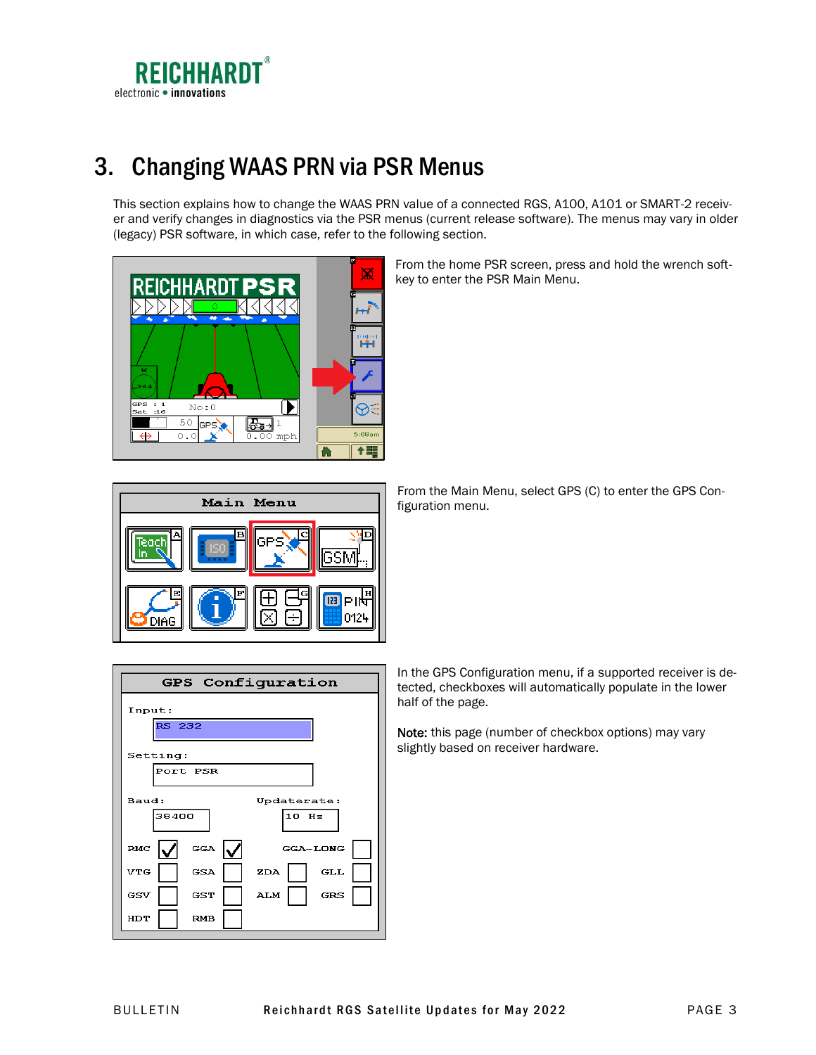

# <span id="page-2-0"></span>3. Changing WAAS PRN via PSR Menus

This section explains how to change the WAAS PRN value of a connected RGS, A100, A101 or SMART-2 receiver and verify changes in diagnostics via the PSR menus (current release software). The menus may vary in older (legacy) PSR software, in which case, refer to the following section.



From the home PSR screen, press and hold the wrench softkey to enter the PSR Main Menu.



Configuration **GPS** Input: **RS 232** Setting: Port PSR Baud: Updaterate: 38400 10 Hz RMC **GGA** GGA-LONG **VTG** GSA  $\mathbf{Z}\mathbf{D}\mathbf{A}$  ${\bf GLL}$ GST  ${\bf ALM}$ **GRS** GSV HDT RMB

From the Main Menu, select GPS (C) to enter the GPS Configuration menu.

In the GPS Configuration menu, if a supported receiver is detected, checkboxes will automatically populate in the lower half of the page.

Note: this page (number of checkbox options) may vary slightly based on receiver hardware.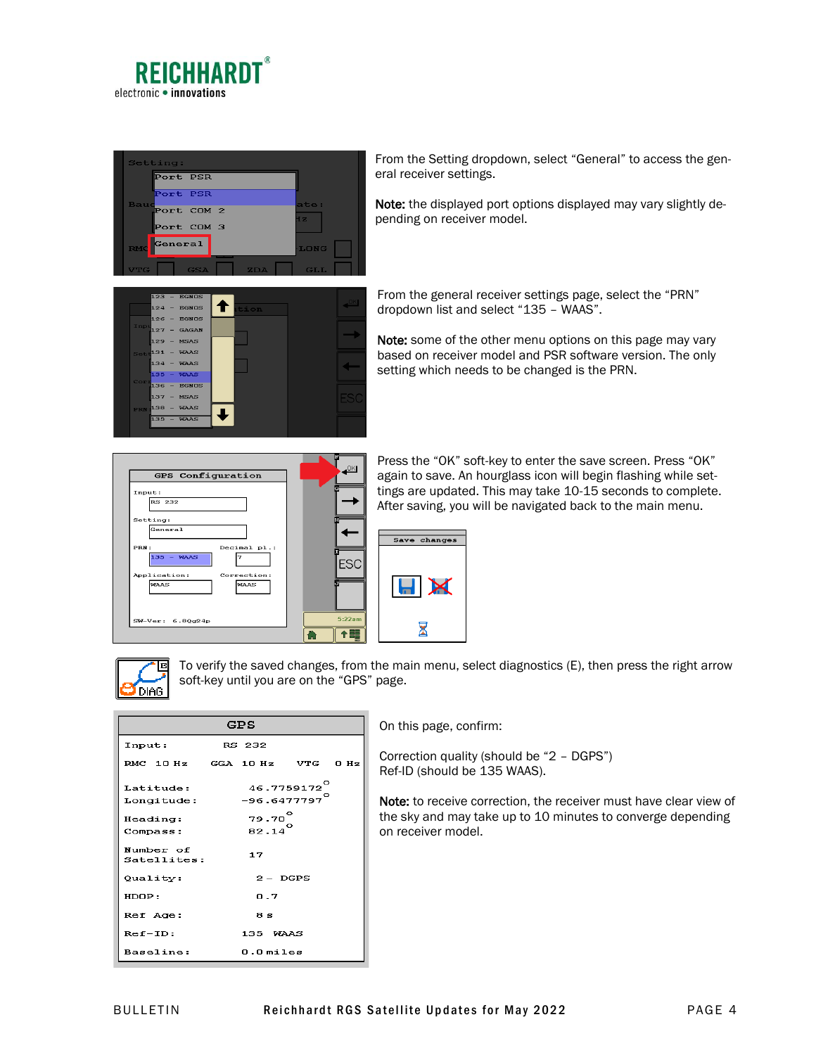



From the Setting dropdown, select "General" to access the general receiver settings.

Note: the displayed port options displayed may vary slightly depending on receiver model.



From the general receiver settings page, select the "PRN" dropdown list and select "135 – WAAS".

Note: some of the other menu options on this page may vary based on receiver model and PSR software version. The only setting which needs to be changed is the PRN.

| GPS Configuration                    |        |
|--------------------------------------|--------|
| Input:                               |        |
| <b>RS 232</b>                        |        |
| Setting:                             |        |
| General                              |        |
| PRN:<br>Decimal pl.:<br>$135 - WARS$ |        |
| Application:<br>Correction:          | -S     |
| <b>WAAS</b><br><b>WAAS</b>           |        |
|                                      |        |
| SW-Ver: 6.80g24p                     | 5:22am |
|                                      |        |

Press the "OK" soft-key to enter the save screen. Press "OK" again to save. An hourglass icon will begin flashing while settings are updated. This may take 10-15 seconds to complete. After saving, you will be navigated back to the main menu.





To verify the saved changes, from the main menu, select diagnostics (E), then press the right arrow soft-key until you are on the "GPS" page.

| GPS                          |  |                                    |                         |  |  |  |  |
|------------------------------|--|------------------------------------|-------------------------|--|--|--|--|
| Input:                       |  | RS 232                             |                         |  |  |  |  |
| RMC 10 Hz GGA 10 Hz VTG 0 Hz |  |                                    |                         |  |  |  |  |
| Latitude:<br>Longitude:      |  | $-96.6477797$                      | 46.7759172 <sup>0</sup> |  |  |  |  |
| Heading:<br>Compass:         |  | $79.70^{\circ}$<br>$82.14^{\circ}$ |                         |  |  |  |  |
| Number of<br>Satellites:     |  | 17                                 |                         |  |  |  |  |
| Quality:                     |  |                                    | $2 - DGPS$              |  |  |  |  |
| HDOP:                        |  | 0.7                                |                         |  |  |  |  |
| Ref Age:                     |  | 8 s                                |                         |  |  |  |  |
| $Ref-ID:$                    |  | 135 WAAS                           |                         |  |  |  |  |
| Baseline:                    |  | $0.0$ miles                        |                         |  |  |  |  |

On this page, confirm:

Correction quality (should be "2 – DGPS") Ref-ID (should be 135 WAAS).

Note: to receive correction, the receiver must have clear view of the sky and may take up to 10 minutes to converge depending on receiver model.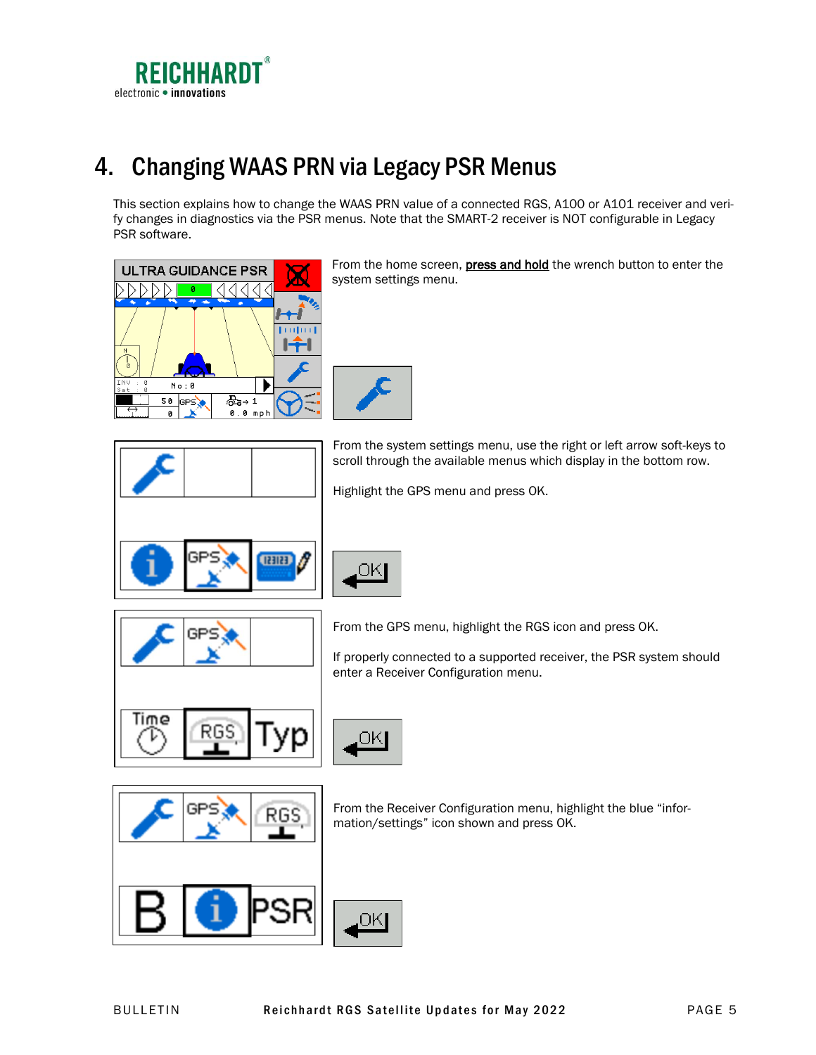

# <span id="page-4-0"></span>4. Changing WAAS PRN via Legacy PSR Menus

This section explains how to change the WAAS PRN value of a connected RGS, A100 or A101 receiver and verify changes in diagnostics via the PSR menus. Note that the SMART-2 receiver is NOT configurable in Legacy PSR software.

Highlight the GPS menu and press OK.



From the home screen, press and hold the wrench button to enter the system settings menu.

scroll through the available menus which display in the bottom row.



**TETTER** 



RG

From the GPS menu, highlight the RGS icon and press OK.

If properly connected to a supported receiver, the PSR system should enter a Receiver Configuration menu.



SI

ЮK

From the Receiver Configuration menu, highlight the blue "information/settings" icon shown and press OK.